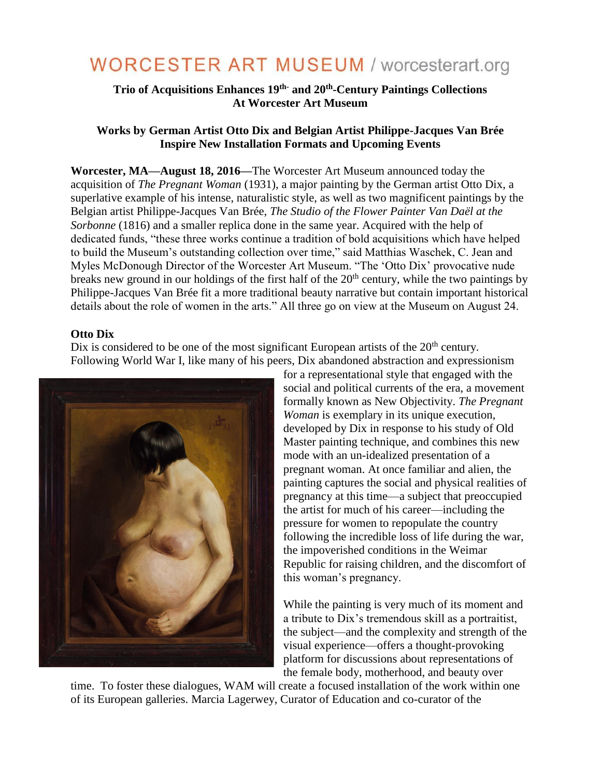# **WORCESTER ART MUSEUM / worcesterart.org**

## **Trio of Acquisitions Enhances 19th- and 20th -Century Paintings Collections At Worcester Art Museum**

## **Works by German Artist Otto Dix and Belgian Artist Philippe-Jacques Van Brée Inspire New Installation Formats and Upcoming Events**

**Worcester, MA—August 18, 2016—**The Worcester Art Museum announced today the acquisition of *The Pregnant Woman* (1931), a major painting by the German artist Otto Dix, a superlative example of his intense, naturalistic style, as well as two magnificent paintings by the Belgian artist Philippe-Jacques Van Brée, *The Studio of the Flower Painter Van Daël at the Sorbonne* (1816) and a smaller replica done in the same year. Acquired with the help of dedicated funds, "these three works continue a tradition of bold acquisitions which have helped to build the Museum's outstanding collection over time," said Matthias Waschek, C. Jean and Myles McDonough Director of the Worcester Art Museum. "The 'Otto Dix' provocative nude breaks new ground in our holdings of the first half of the 20<sup>th</sup> century, while the two paintings by Philippe-Jacques Van Brée fit a more traditional beauty narrative but contain important historical details about the role of women in the arts." All three go on view at the Museum on August 24.

#### **Otto Dix**

Dix is considered to be one of the most significant European artists of the  $20<sup>th</sup>$  century. Following World War I, like many of his peers, Dix abandoned abstraction and expressionism



for a representational style that engaged with the social and political currents of the era, a movement formally known as New Objectivity. *The Pregnant Woman* is exemplary in its unique execution, developed by Dix in response to his study of Old Master painting technique, and combines this new mode with an un-idealized presentation of a pregnant woman. At once familiar and alien, the painting captures the social and physical realities of pregnancy at this time—a subject that preoccupied the artist for much of his career—including the pressure for women to repopulate the country following the incredible loss of life during the war, the impoverished conditions in the Weimar Republic for raising children, and the discomfort of this woman's pregnancy.

While the painting is very much of its moment and a tribute to Dix's tremendous skill as a portraitist, the subject—and the complexity and strength of the visual experience—offers a thought-provoking platform for discussions about representations of the female body, motherhood, and beauty over

time. To foster these dialogues, WAM will create a focused installation of the work within one of its European galleries. Marcia Lagerwey, Curator of Education and co-curator of the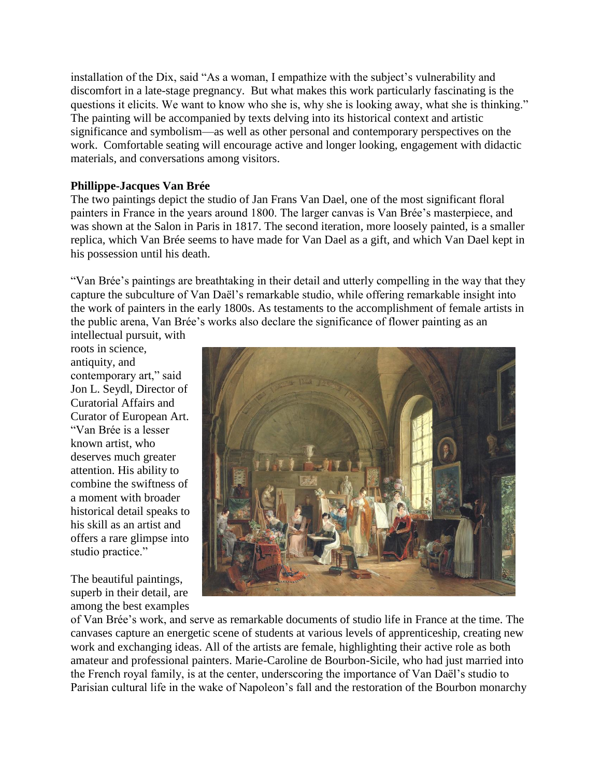installation of the Dix, said "As a woman, I empathize with the subject's vulnerability and discomfort in a late-stage pregnancy. But what makes this work particularly fascinating is the questions it elicits. We want to know who she is, why she is looking away, what she is thinking." The painting will be accompanied by texts delving into its historical context and artistic significance and symbolism—as well as other personal and contemporary perspectives on the work. Comfortable seating will encourage active and longer looking, engagement with didactic materials, and conversations among visitors.

#### **Phillippe-Jacques Van Brée**

The two paintings depict the studio of Jan Frans Van Dael, one of the most significant floral painters in France in the years around 1800. The larger canvas is Van Brée's masterpiece, and was shown at the Salon in Paris in 1817. The second iteration*,* more loosely painted, is a smaller replica, which Van Brée seems to have made for Van Dael as a gift, and which Van Dael kept in his possession until his death.

"Van Brée's paintings are breathtaking in their detail and utterly compelling in the way that they capture the subculture of Van Daël's remarkable studio, while offering remarkable insight into the work of painters in the early 1800s. As testaments to the accomplishment of female artists in the public arena, Van Brée's works also declare the significance of flower painting as an intellectual pursuit, with

roots in science, antiquity, and contemporary art," said Jon L. Seydl, Director of Curatorial Affairs and Curator of European Art. "Van Brée is a lesser known artist, who deserves much greater attention. His ability to combine the swiftness of a moment with broader historical detail speaks to his skill as an artist and offers a rare glimpse into studio practice."

The beautiful paintings, superb in their detail, are among the best examples



of Van Brée's work, and serve as remarkable documents of studio life in France at the time. The canvases capture an energetic scene of students at various levels of apprenticeship, creating new work and exchanging ideas. All of the artists are female, highlighting their active role as both amateur and professional painters. Marie-Caroline de Bourbon-Sicile, who had just married into the French royal family, is at the center, underscoring the importance of Van Daël's studio to Parisian cultural life in the wake of Napoleon's fall and the restoration of the Bourbon monarchy